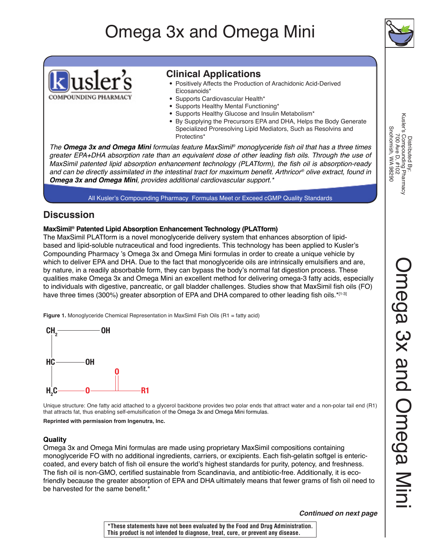# Omega 3x and Omega Mini





### **Clinical Applications**

- Positively Affects the Production of Arachidonic Acid-Derived Eicosanoids\*
- Supports Cardiovascular Health\*
- Supports Healthy Mental Functioning\*
- Supports Healthy Glucose and Insulin Metabolism\*
- By Supplying the Precursors EPA and DHA, Helps the Body Generate Specialized Proresolving Lipid Mediators, Such as Resolvins and Protectins\*

*The Omega 3x and Omega Mini formulas feature MaxSimil®* monoglyceride fish oil that has a three times greater EPA+DHA absorption rate than an equivalent dose of other leading fish oils. Through the use of MaxSimil patented lipid absorption enhancement technology (PLATform), the fish oil is absorption-ready and can be directly assimilated in the intestinal tract for maximum benefit. Arthricor*® olive extract, found in Omega 3x and Omega Mini*, provides additional cardiovascular support.\*

All Kusler's Compounding Pharmacy Formulas Meet or Exceed cGMP Quality Standards

### **Discussion**

### **MaxSimil® Patented Lipid Absorption Enhancement Technology (PLATform)**

The MaxSimil PLATform is a novel monoglyceride delivery system that enhances absorption of lipidbased and lipid-soluble nutraceutical and food ingredients. This technology has been applied to Kusler's Compounding Pharmacy 's Omega 3x and Omega Mini formulas in order to create a unique vehicle by which to deliver EPA and DHA. Due to the fact that monoglyceride oils are intrinsically emulsifiers and are, by nature, in a readily absorbable form, they can bypass the body's normal fat digestion process. These qualities make Omega 3x and Omega Mini an excellent method for delivering omega-3 fatty acids, especially to individuals with digestive, pancreatic, or gall bladder challenges. Studies show that MaxSimil fish oils (FO) have three times (300%) greater absorption of EPA and DHA compared to other leading fish oils.\*[1-3]

**Figure 1.** Monoglyceride Chemical Representation in MaxSimil Fish Oils (R1 = fatty acid)



Unique structure: One fatty acid attached to a glycerol backbone provides two polar ends that attract water and a non-polar tail end (R1) that attracts fat, thus enabling self-emulsification of the Omega 3x and Omega Mini formulas.

**Reprinted with permission from Ingenutra, Inc.**

### **Quality**

Omega 3x and Omega Mini formulas are made using proprietary MaxSimil compositions containing monoglyceride FO with no additional ingredients, carriers, or excipients. Each fish-gelatin softgel is entericcoated, and every batch of fish oil ensure the world's highest standards for purity, potency, and freshness. The fish oil is non-GMO, certified sustainable from Scandinavia, and antibiotic-free. Additionally, it is ecofriendly because the greater absorption of EPA and DHA ultimately means that fewer grams of fish oil need to be harvested for the same benefit.<sup>\*</sup>

*Continued on next page*

Distributed By:<br>Kusler's Compounding Pharmacy<br>700 Ave D, #102 Kusler's Compounding Pharmacy Snohomish, WA 98290 Snohomish, WA 98290 700 Ave D, #102 Distributed By:

**\*These statements have not been evaluated by the Food and Drug Administration. This product is not intended to diagnose, treat, cure, or prevent any disease.**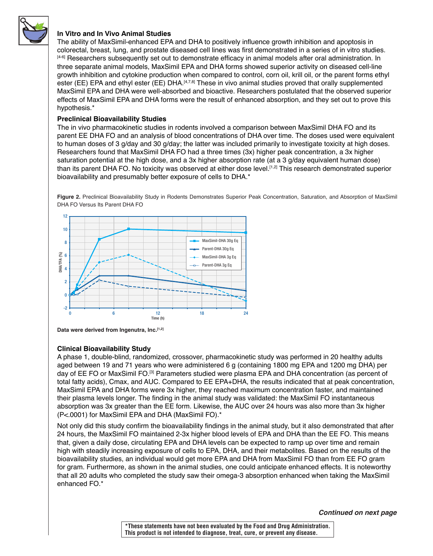

### **In Vitro and In Vivo Animal Studies**

The ability of MaxSimil-enhanced EPA and DHA to positively influence growth inhibition and apoptosis in colorectal, breast, lung, and prostate diseased cell lines was first demonstrated in a series of in vitro studies. [4-6] Researchers subsequently set out to demonstrate efficacy in animal models after oral administration. In three separate animal models, MaxSimil EPA and DHA forms showed superior activity on diseased cell-line growth inhibition and cytokine production when compared to control, corn oil, krill oil, or the parent forms ethyl ester (EE) EPA and ethyl ester (EE) DHA.<sup>[4,7,8]</sup> These in vivo animal studies proved that orally supplemented MaxSimil EPA and DHA were well-absorbed and bioactive. Researchers postulated that the observed superior effects of MaxSimil EPA and DHA forms were the result of enhanced absorption, and they set out to prove this hypothesis.\*

### **Preclinical Bioavailability Studies**

The in vivo pharmacokinetic studies in rodents involved a comparison between MaxSimil DHA FO and its parent EE DHA FO and an analysis of blood concentrations of DHA over time. The doses used were equivalent to human doses of 3 g/day and 30 g/day; the latter was included primarily to investigate toxicity at high doses. Researchers found that MaxSimil DHA FO had a three times (3x) higher peak concentration, a 3x higher saturation potential at the high dose, and a 3x higher absorption rate (at a 3 g/day equivalent human dose) than its parent DHA FO. No toxicity was observed at either dose level.[1,2] This research demonstrated superior bioavailability and presumably better exposure of cells to DHA.\*

**Figure 2.** Preclinical Bioavailability Study in Rodents Demonstrates Superior Peak Concentration, Saturation, and Absorption of MaxSimil DHA FO Versus Its Parent DHA FO



**Data were derived from Ingenutra, Inc.[1,2]**

### **Clinical Bioavailability Study**

A phase 1, double-blind, randomized, crossover, pharmacokinetic study was performed in 20 healthy adults aged between 19 and 71 years who were administered 6 g (containing 1800 mg EPA and 1200 mg DHA) per day of EE FO or MaxSimil FO.[3] Parameters studied were plasma EPA and DHA concentration (as percent of total fatty acids), Cmax, and AUC. Compared to EE EPA+DHA, the results indicated that at peak concentration, MaxSimil EPA and DHA forms were 3x higher, they reached maximum concentration faster, and maintained their plasma levels longer. The finding in the animal study was validated: the MaxSimil FO instantaneous absorption was 3x greater than the EE form. Likewise, the AUC over 24 hours was also more than 3x higher (P<.0001) for MaxSimil EPA and DHA (MaxSimil FO).\*

Not only did this study confirm the bioavailability findings in the animal study, but it also demonstrated that after 24 hours, the MaxSimil FO maintained 2-3x higher blood levels of EPA and DHA than the EE FO. This means that, given a daily dose, circulating EPA and DHA levels can be expected to ramp up over time and remain high with steadily increasing exposure of cells to EPA, DHA, and their metabolites. Based on the results of the bioavailability studies, an individual would get more EPA and DHA from MaxSimil FO than from EE FO gram for gram. Furthermore, as shown in the animal studies, one could anticipate enhanced effects. It is noteworthy that all 20 adults who completed the study saw their omega-3 absorption enhanced when taking the MaxSimil enhanced FO.\*

*Continued on next page*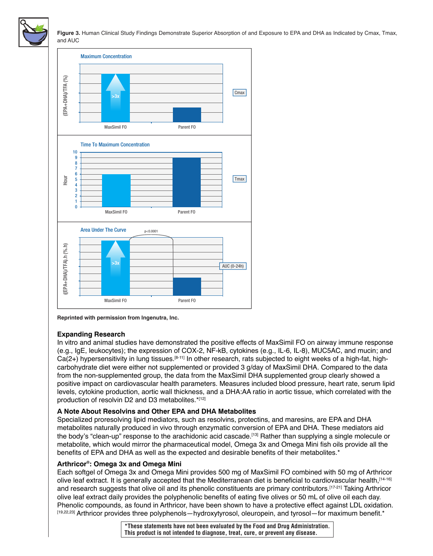

**Figure 3.** Human Clinical Study Findings Demonstrate Superior Absorption of and Exposure to EPA and DHA as Indicated by Cmax, Tmax, and AUC



### **Expanding Research**

In vitro and animal studies have demonstrated the positive effects of MaxSimil FO on airway immune response (e.g., IgE, leukocytes); the expression of COX-2, NF-kB, cytokines (e.g., IL-6, IL-8), MUC5AC, and mucin; and  $Ca(2+)$  hypersensitivity in lung tissues.<sup>[8-11]</sup> In other research, rats subjected to eight weeks of a high-fat, highcarbohydrate diet were either not supplemented or provided 3 g/day of MaxSimil DHA. Compared to the data from the non-supplemented group, the data from the MaxSimil DHA supplemented group clearly showed a positive impact on cardiovascular health parameters. Measures included blood pressure, heart rate, serum lipid levels, cytokine production, aortic wall thickness, and a DHA:AA ratio in aortic tissue, which correlated with the production of resolvin D2 and D3 metabolites.\*[12]

### **A Note About Resolvins and Other EPA and DHA Metabolites**

Specialized proresolving lipid mediators, such as resolvins, protectins, and maresins, are EPA and DHA metabolites naturally produced in vivo through enzymatic conversion of EPA and DHA. These mediators aid the body's "clean-up" response to the arachidonic acid cascade.<sup>[13]</sup> Rather than supplying a single molecule or metabolite, which would mirror the pharmaceutical model, Omega 3x and Omega Mini fish oils provide all the benefits of EPA and DHA as well as the expected and desirable benefits of their metabolites.\*

### **Arthricor®: Omega 3x and Omega Mini**

Each softgel of Omega 3x and Omega Mini provides 500 mg of MaxSimil FO combined with 50 mg of Arthricor olive leaf extract. It is generally accepted that the Mediterranean diet is beneficial to cardiovascular health,[14-16] and research suggests that olive oil and its phenolic constituents are primary contributors.<sup>[17-21]</sup> Taking Arthricor olive leaf extract daily provides the polyphenolic benefits of eating five olives or 50 mL of olive oil each day. Phenolic compounds, as found in Arthricor, have been shown to have a protective effect against LDL oxidation. [19,22,23] Arthricor provides three polyphenols—hydroxytyrosol, oleuropein, and tyrosol—for maximum benefit.\*

> **\*These statements have not been evaluated by the Food and Drug Administration. This product is not intended to diagnose, treat, cure, or prevent any disease.**